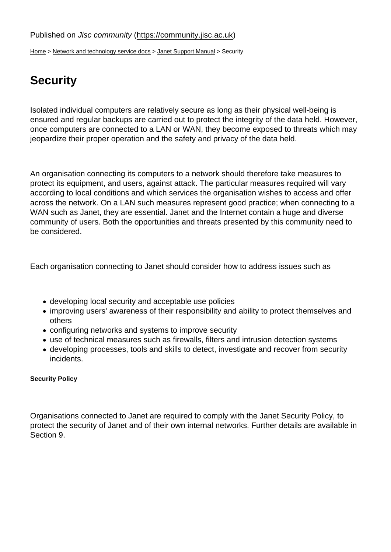[Home](https://community.jisc.ac.uk/) > [Network and technology service docs](https://community.jisc.ac.uk/library/janet-services-documentation) > [Janet Support Manual](https://community.jisc.ac.uk/library/janet-services-documentation/janet-support-manual) > Security

# **Security**

Isolated individual computers are relatively secure as long as their physical well-being is ensured and regular backups are carried out to protect the integrity of the data held. However, once computers are connected to a LAN or WAN, they become exposed to threats which may jeopardize their proper operation and the safety and privacy of the data held.

An organisation connecting its computers to a network should therefore take measures to protect its equipment, and users, against attack. The particular measures required will vary according to local conditions and which services the organisation wishes to access and offer across the network. On a LAN such measures represent good practice; when connecting to a WAN such as Janet, they are essential. Janet and the Internet contain a huge and diverse community of users. Both the opportunities and threats presented by this community need to be considered.

Each organisation connecting to Janet should consider how to address issues such as

- developing local security and acceptable use policies
- improving users' awareness of their responsibility and ability to protect themselves and others
- configuring networks and systems to improve security
- use of technical measures such as firewalls, filters and intrusion detection systems
- developing processes, tools and skills to detect, investigate and recover from security incidents.

Security Policy

Organisations connected to Janet are required to comply with the Janet Security Policy, to protect the security of Janet and of their own internal networks. Further details are available in Section 9.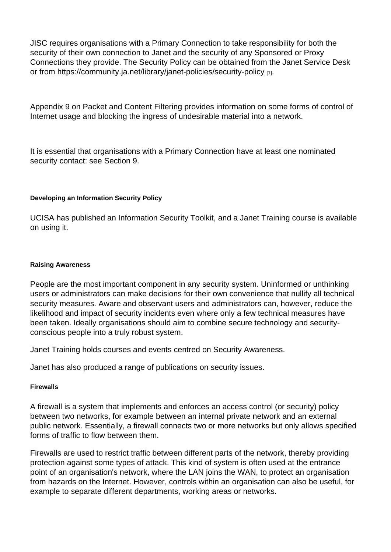JISC requires organisations with a Primary Connection to take responsibility for both the security of their own connection to Janet and the security of any Sponsored or Proxy Connections they provide. The Security Policy can be obtained from the Janet Service Desk or from<https://community.ja.net/library/janet-policies/security-policy> [1].

Appendix 9 on Packet and Content Filtering provides information on some forms of control of Internet usage and blocking the ingress of undesirable material into a network.

It is essential that organisations with a Primary Connection have at least one nominated security contact: see Section 9.

Developing an Information Security Policy

UCISA has published an Information Security Toolkit, and a Janet Training course is available on using it.

#### Raising Awareness

People are the most important component in any security system. Uninformed or unthinking users or administrators can make decisions for their own convenience that nullify all technical security measures. Aware and observant users and administrators can, however, reduce the likelihood and impact of security incidents even where only a few technical measures have been taken. Ideally organisations should aim to combine secure technology and securityconscious people into a truly robust system.

Janet Training holds courses and events centred on Security Awareness.

Janet has also produced a range of publications on security issues.

**Firewalls** 

A firewall is a system that implements and enforces an access control (or security) policy between two networks, for example between an internal private network and an external public network. Essentially, a firewall connects two or more networks but only allows specified forms of traffic to flow between them.

Firewalls are used to restrict traffic between different parts of the network, thereby providing protection against some types of attack. This kind of system is often used at the entrance point of an organisation's network, where the LAN joins the WAN, to protect an organisation from hazards on the Internet. However, controls within an organisation can also be useful, for example to separate different departments, working areas or networks.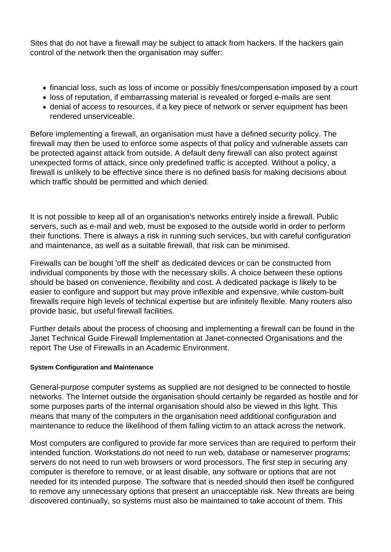Sites that do not have a firewall may be subject to attack from hackers. If the hackers gain control of the network then the organisation may suffer:

- financial loss, such as loss of income or possibly fines/compensation imposed by a court
- loss of reputation, if embarrassing material is revealed or forged e-mails are sent
- denial of access to resources, if a key piece of network or server equipment has been rendered unserviceable.

Before implementing a firewall, an organisation must have a defined security policy. The firewall may then be used to enforce some aspects of that policy and vulnerable assets can be protected against attack from outside. A default deny firewall can also protect against unexpected forms of attack, since only predefined traffic is accepted. Without a policy, a firewall is unlikely to be effective since there is no defined basis for making decisions about which traffic should be permitted and which denied.

It is not possible to keep all of an organisation's networks entirely inside a firewall. Public servers, such as e-mail and web, must be exposed to the outside world in order to perform their functions. There is always a risk in running such services, but with careful configuration and maintenance, as well as a suitable firewall, that risk can be minimised.

Firewalls can be bought 'off the shelf' as dedicated devices or can be constructed from individual components by those with the necessary skills. A choice between these options should be based on convenience, flexibility and cost. A dedicated package is likely to be easier to configure and support but may prove inflexible and expensive, while custom-built firewalls require high levels of technical expertise but are infinitely flexible. Many routers also provide basic, but useful firewall facilities.

Further details about the process of choosing and implementing a firewall can be found in the Janet Technical Guide Firewall Implementation at Janet-connected Organisations and the report The Use of Firewalls in an Academic Environment.

# **System Configuration and Maintenance**

General-purpose computer systems as supplied are not designed to be connected to hostile networks. The Internet outside the organisation should certainly be regarded as hostile and for some purposes parts of the internal organisation should also be viewed in this light. This means that many of the computers in the organisation need additional configuration and maintenance to reduce the likelihood of them falling victim to an attack across the network.

Most computers are configured to provide far more services than are required to perform their intended function. Workstations do not need to run web, database or nameserver programs; servers do not need to run web browsers or word processors. The first step in securing any computer is therefore to remove, or at least disable, any software or options that are not needed for its intended purpose. The software that is needed should then itself be configured to remove any unnecessary options that present an unacceptable risk. New threats are being discovered continually, so systems must also be maintained to take account of them. This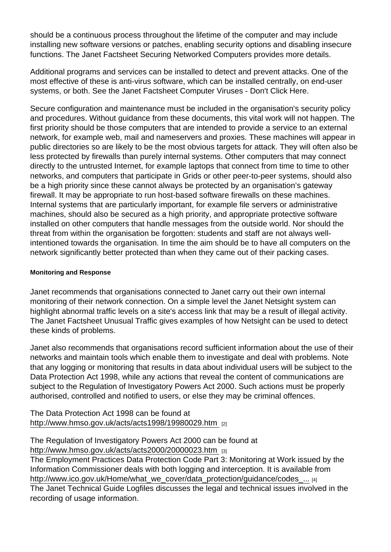should be a continuous process throughout the lifetime of the computer and may include installing new software versions or patches, enabling security options and disabling insecure functions. The Janet Factsheet Securing Networked Computers provides more details.

Additional programs and services can be installed to detect and prevent attacks. One of the most effective of these is anti-virus software, which can be installed centrally, on end-user systems, or both. See the Janet Factsheet Computer Viruses - Don't Click Here.

Secure configuration and maintenance must be included in the organisation's security policy and procedures. Without guidance from these documents, this vital work will not happen. The first priority should be those computers that are intended to provide a service to an external network, for example web, mail and nameservers and proxies. These machines will appear in public directories so are likely to be the most obvious targets for attack. They will often also be less protected by firewalls than purely internal systems. Other computers that may connect directly to the untrusted Internet, for example laptops that connect from time to time to other networks, and computers that participate in Grids or other peer-to-peer systems, should also be a high priority since these cannot always be protected by an organisation's gateway firewall. It may be appropriate to run host-based software firewalls on these machines. Internal systems that are particularly important, for example file servers or administrative machines, should also be secured as a high priority, and appropriate protective software installed on other computers that handle messages from the outside world. Nor should the threat from within the organisation be forgotten: students and staff are not always wellintentioned towards the organisation. In time the aim should be to have all computers on the network significantly better protected than when they came out of their packing cases.

## Monitoring and Response

Janet recommends that organisations connected to Janet carry out their own internal monitoring of their network connection. On a simple level the Janet Netsight system can highlight abnormal traffic levels on a site's access link that may be a result of illegal activity. The Janet Factsheet Unusual Traffic gives examples of how Netsight can be used to detect these kinds of problems.

Janet also recommends that organisations record sufficient information about the use of their networks and maintain tools which enable them to investigate and deal with problems. Note that any logging or monitoring that results in data about individual users will be subject to the Data Protection Act 1998, while any actions that reveal the content of communications are subject to the Regulation of Investigatory Powers Act 2000. Such actions must be properly authorised, controlled and notified to users, or else they may be criminal offences.

The Data Protection Act 1998 can be found at [http://www.hmso.gov.uk/acts/acts1998/19980029.htm](http://www.hmso.gov.uk/acts/acts1998/19980029.htm ) [2]

The Regulation of Investigatory Powers Act 2000 can be found at [http://www.hmso.gov.uk/acts/acts2000/20000023.htm](http://www.hmso.gov.uk/acts/acts2000/20000023.htm ) [3] The Employment Practices Data Protection Code Part 3: Monitoring at Work issued by the Information Commissioner deals with both logging and interception. It is available from http://www.ico.gov.uk/Home/what\_we\_cover/data\_protection/guidance/codes ... [4] The Janet Technical Guide Logfiles discusses the legal and technical issues involved in the recording of usage information.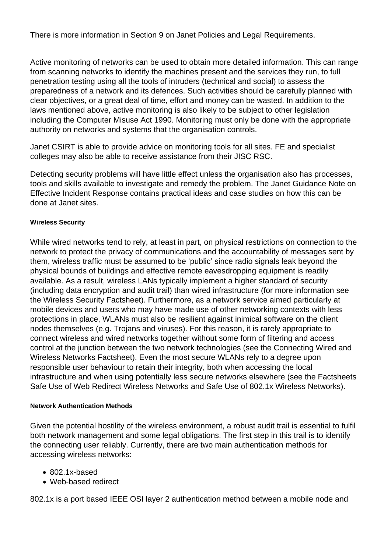There is more information in Section 9 on Janet Policies and Legal Requirements.

Active monitoring of networks can be used to obtain more detailed information. This can range from scanning networks to identify the machines present and the services they run, to full penetration testing using all the tools of intruders (technical and social) to assess the preparedness of a network and its defences. Such activities should be carefully planned with clear objectives, or a great deal of time, effort and money can be wasted. In addition to the laws mentioned above, active monitoring is also likely to be subject to other legislation including the Computer Misuse Act 1990. Monitoring must only be done with the appropriate authority on networks and systems that the organisation controls.

Janet CSIRT is able to provide advice on monitoring tools for all sites. FE and specialist colleges may also be able to receive assistance from their JISC RSC.

Detecting security problems will have little effect unless the organisation also has processes, tools and skills available to investigate and remedy the problem. The Janet Guidance Note on Effective Incident Response contains practical ideas and case studies on how this can be done at Janet sites.

## **Wireless Security**

While wired networks tend to rely, at least in part, on physical restrictions on connection to the network to protect the privacy of communications and the accountability of messages sent by them, wireless traffic must be assumed to be 'public' since radio signals leak beyond the physical bounds of buildings and effective remote eavesdropping equipment is readily available. As a result, wireless LANs typically implement a higher standard of security (including data encryption and audit trail) than wired infrastructure (for more information see the Wireless Security Factsheet). Furthermore, as a network service aimed particularly at mobile devices and users who may have made use of other networking contexts with less protections in place, WLANs must also be resilient against inimical software on the client nodes themselves (e.g. Trojans and viruses). For this reason, it is rarely appropriate to connect wireless and wired networks together without some form of filtering and access control at the junction between the two network technologies (see the Connecting Wired and Wireless Networks Factsheet). Even the most secure WLANs rely to a degree upon responsible user behaviour to retain their integrity, both when accessing the local infrastructure and when using potentially less secure networks elsewhere (see the Factsheets Safe Use of Web Redirect Wireless Networks and Safe Use of 802.1x Wireless Networks).

#### **Network Authentication Methods**

Given the potential hostility of the wireless environment, a robust audit trail is essential to fulfil both network management and some legal obligations. The first step in this trail is to identify the connecting user reliably. Currently, there are two main authentication methods for accessing wireless networks:

- 802.1x-based
- Web-based redirect

802.1x is a port based IEEE OSI layer 2 authentication method between a mobile node and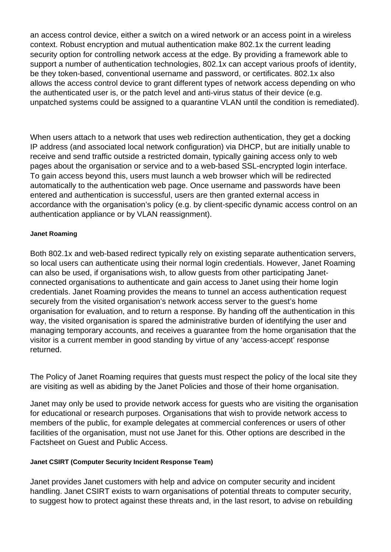an access control device, either a switch on a wired network or an access point in a wireless context. Robust encryption and mutual authentication make 802.1x the current leading security option for controlling network access at the edge. By providing a framework able to support a number of authentication technologies, 802.1x can accept various proofs of identity, be they token-based, conventional username and password, or certificates. 802.1x also allows the access control device to grant different types of network access depending on who the authenticated user is, or the patch level and anti-virus status of their device (e.g. unpatched systems could be assigned to a quarantine VLAN until the condition is remediated).

When users attach to a network that uses web redirection authentication, they get a docking IP address (and associated local network configuration) via DHCP, but are initially unable to receive and send traffic outside a restricted domain, typically gaining access only to web pages about the organisation or service and to a web-based SSL-encrypted login interface. To gain access beyond this, users must launch a web browser which will be redirected automatically to the authentication web page. Once username and passwords have been entered and authentication is successful, users are then granted external access in accordance with the organisation's policy (e.g. by client-specific dynamic access control on an authentication appliance or by VLAN reassignment).

# **Janet Roaming**

Both 802.1x and web-based redirect typically rely on existing separate authentication servers, so local users can authenticate using their normal login credentials. However, Janet Roaming can also be used, if organisations wish, to allow guests from other participating Janetconnected organisations to authenticate and gain access to Janet using their home login credentials. Janet Roaming provides the means to tunnel an access authentication request securely from the visited organisation's network access server to the guest's home organisation for evaluation, and to return a response. By handing off the authentication in this way, the visited organisation is spared the administrative burden of identifying the user and managing temporary accounts, and receives a guarantee from the home organisation that the visitor is a current member in good standing by virtue of any 'access-accept' response returned.

The Policy of Janet Roaming requires that guests must respect the policy of the local site they are visiting as well as abiding by the Janet Policies and those of their home organisation.

Janet may only be used to provide network access for guests who are visiting the organisation for educational or research purposes. Organisations that wish to provide network access to members of the public, for example delegates at commercial conferences or users of other facilities of the organisation, must not use Janet for this. Other options are described in the Factsheet on Guest and Public Access.

#### **Janet CSIRT (Computer Security Incident Response Team)**

Janet provides Janet customers with help and advice on computer security and incident handling. Janet CSIRT exists to warn organisations of potential threats to computer security, to suggest how to protect against these threats and, in the last resort, to advise on rebuilding